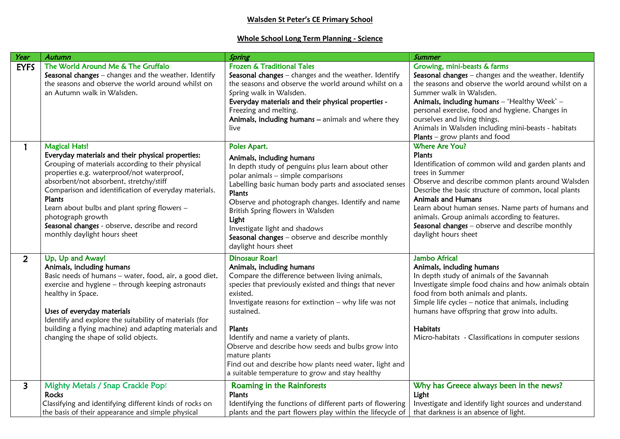## **Walsden St Peter's CE Primary School**

## **Whole School Long Term Planning - Science**

| Year                    | <b>Autumn</b>                                                                                                                                                                                                                                                                                                                                                                                                                                     | Spring                                                                                                                                                                                                                                                                                                                                                                                                                                                                                   | <b>Summer</b>                                                                                                                                                                                                                                                                                                                                                                                                                         |
|-------------------------|---------------------------------------------------------------------------------------------------------------------------------------------------------------------------------------------------------------------------------------------------------------------------------------------------------------------------------------------------------------------------------------------------------------------------------------------------|------------------------------------------------------------------------------------------------------------------------------------------------------------------------------------------------------------------------------------------------------------------------------------------------------------------------------------------------------------------------------------------------------------------------------------------------------------------------------------------|---------------------------------------------------------------------------------------------------------------------------------------------------------------------------------------------------------------------------------------------------------------------------------------------------------------------------------------------------------------------------------------------------------------------------------------|
| <b>EYFS</b>             | The World Around Me & The Gruffalo<br>Seasonal changes - changes and the weather. Identify<br>the seasons and observe the world around whilst on<br>an Autumn walk in Walsden.                                                                                                                                                                                                                                                                    | <b>Frozen &amp; Traditional Tales</b><br>Seasonal changes - changes and the weather. Identify<br>the seasons and observe the world around whilst on a<br>Spring walk in Walsden.<br>Everyday materials and their physical properties -<br>Freezing and melting.<br>Animals, including humans - animals and where they<br>live                                                                                                                                                            | Growing, mini-beasts & farms<br>Seasonal changes - changes and the weather. Identify<br>the seasons and observe the world around whilst on a<br>Summer walk in Walsden.<br>Animals, including humans - 'Healthy Week' -<br>personal exercise, food and hygiene. Changes in<br>ourselves and living things.<br>Animals in Walsden including mini-beasts - habitats<br><b>Plants</b> – grow plants and food                             |
|                         | <b>Magical Hats!</b><br>Everyday materials and their physical properties:<br>Grouping of materials according to their physical<br>properties e.g. waterproof/not waterproof,<br>absorbent/not absorbent, stretchy/stiff<br>Comparison and identification of everyday materials.<br>Plants<br>Learn about bulbs and plant spring flowers -<br>photograph growth<br>Seasonal changes - observe, describe and record<br>monthly daylight hours sheet | Poles Apart.<br>Animals, including humans<br>In depth study of penguins plus learn about other<br>polar animals - simple comparisons<br>Labelling basic human body parts and associated senses<br>Plants<br>Observe and photograph changes. Identify and name<br>British Spring flowers in Walsden<br>Light<br>Investigate light and shadows<br>Seasonal changes - observe and describe monthly<br>daylight hours sheet                                                                  | <b>Where Are You?</b><br>Plants<br>Identification of common wild and garden plants and<br>trees in Summer<br>Observe and describe common plants around Walsden<br>Describe the basic structure of common, local plants<br><b>Animals and Humans</b><br>Learn about human senses. Name parts of humans and<br>animals. Group animals according to features.<br>Seasonal changes - observe and describe monthly<br>daylight hours sheet |
| $\overline{2}$          | Up, Up and Away!<br>Animals, including humans<br>Basic needs of humans - water, food, air, a good diet,<br>exercise and hygiene - through keeping astronauts<br>healthy in Space.<br>Uses of everyday materials<br>Identify and explore the suitability of materials (for<br>building a flying machine) and adapting materials and<br>changing the shape of solid objects.                                                                        | <b>Dinosaur Roar!</b><br>Animals, including humans<br>Compare the difference between living animals,<br>species that previously existed and things that never<br>existed.<br>Investigate reasons for extinction - why life was not<br>sustained.<br>Plants<br>Identify and name a variety of plants.<br>Observe and describe how seeds and bulbs grow into<br>mature plants<br>Find out and describe how plants need water, light and<br>a suitable temperature to grow and stay healthy | Jambo Africa!<br>Animals, including humans<br>In depth study of animals of the Savannah<br>Investigate simple food chains and how animals obtain<br>food from both animals and plants.<br>Simple life cycles - notice that animals, including<br>humans have offspring that grow into adults.<br><b>Habitats</b><br>Micro-habitats - Classifications in computer sessions                                                             |
| $\overline{\mathbf{3}}$ | <b>Mighty Metals / Snap Crackle Pop!</b><br><b>Rocks</b><br>Classifying and identifying different kinds of rocks on<br>the basis of their appearance and simple physical                                                                                                                                                                                                                                                                          | Roaming in the Rainforests<br>Plants<br>Identifying the functions of different parts of flowering<br>plants and the part flowers play within the lifecycle of                                                                                                                                                                                                                                                                                                                            | Why has Greece always been in the news?<br>Light<br>Investigate and identify light sources and understand<br>that darkness is an absence of light.                                                                                                                                                                                                                                                                                    |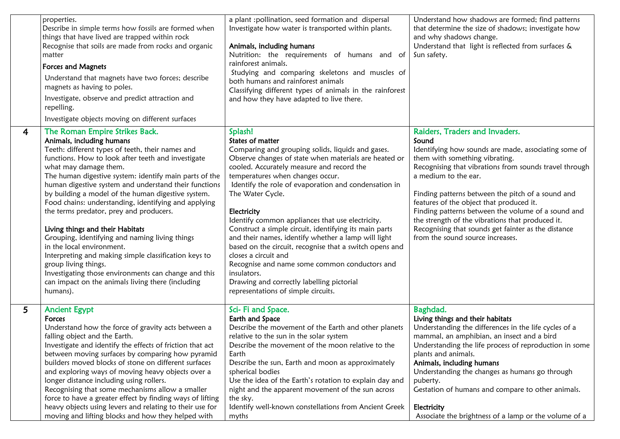|   | properties.<br>Describe in simple terms how fossils are formed when<br>things that have lived are trapped within rock<br>Recognise that soils are made from rocks and organic<br>matter<br><b>Forces and Magnets</b><br>Understand that magnets have two forces; describe<br>magnets as having to poles.<br>Investigate, observe and predict attraction and<br>repelling.<br>Investigate objects moving on different surfaces                                                                                                                                                                                                                                                                                                                                                                           | a plant : pollination, seed formation and dispersal<br>Investigate how water is transported within plants.<br>Animals, including humans<br>Nutrition: the requirements of humans and of<br>rainforest animals.<br>Studying and comparing skeletons and muscles of<br>both humans and rainforest animals<br>Classifying different types of animals in the rainforest<br>and how they have adapted to live there.                                                                                                                                                                                                                                                                                                                   | Understand how shadows are formed; find patterns<br>that determine the size of shadows; investigate how<br>and why shadows change.<br>Understand that light is reflected from surfaces &<br>Sun safety.                                                                                                                                                                                                                                                                                                                   |
|---|---------------------------------------------------------------------------------------------------------------------------------------------------------------------------------------------------------------------------------------------------------------------------------------------------------------------------------------------------------------------------------------------------------------------------------------------------------------------------------------------------------------------------------------------------------------------------------------------------------------------------------------------------------------------------------------------------------------------------------------------------------------------------------------------------------|-----------------------------------------------------------------------------------------------------------------------------------------------------------------------------------------------------------------------------------------------------------------------------------------------------------------------------------------------------------------------------------------------------------------------------------------------------------------------------------------------------------------------------------------------------------------------------------------------------------------------------------------------------------------------------------------------------------------------------------|---------------------------------------------------------------------------------------------------------------------------------------------------------------------------------------------------------------------------------------------------------------------------------------------------------------------------------------------------------------------------------------------------------------------------------------------------------------------------------------------------------------------------|
| 4 | The Roman Empire Strikes Back.<br>Animals, including humans<br>Teeth: different types of teeth, their names and<br>functions. How to look after teeth and investigate<br>what may damage them.<br>The human digestive system: identify main parts of the<br>human digestive system and understand their functions<br>by building a model of the human digestive system.<br>Food chains: understanding, identifying and applying<br>the terms predator, prey and producers.<br>Living things and their Habitats<br>Grouping, identifying and naming living things<br>in the local environment.<br>Interpreting and making simple classification keys to<br>group living things.<br>Investigating those environments can change and this<br>can impact on the animals living there (including<br>humans). | Splash!<br>States of matter<br>Comparing and grouping solids, liquids and gases.<br>Observe changes of state when materials are heated or<br>cooled. Accurately measure and record the<br>temperatures when changes occur.<br>Identify the role of evaporation and condensation in<br>The Water Cycle.<br>Electricity<br>Identify common appliances that use electricity.<br>Construct a simple circuit, identifying its main parts<br>and their names, identify whether a lamp will light<br>based on the circuit, recognise that a switch opens and<br>closes a circuit and<br>Recognise and name some common conductors and<br>insulators.<br>Drawing and correctly labelling pictorial<br>representations of simple circuits. | Raiders, Traders and Invaders.<br>Sound<br>Identifying how sounds are made, associating some of<br>them with something vibrating.<br>Recognising that vibrations from sounds travel through<br>a medium to the ear.<br>Finding patterns between the pitch of a sound and<br>features of the object that produced it.<br>Finding patterns between the volume of a sound and<br>the strength of the vibrations that produced it.<br>Recognising that sounds get fainter as the distance<br>from the sound source increases. |
| 5 | <b>Ancient Egypt</b><br><b>Forces</b><br>Understand how the force of gravity acts between a<br>falling object and the Earth.<br>Investigate and identify the effects of friction that act<br>between moving surfaces by comparing how pyramid<br>builders moved blocks of stone on different surfaces<br>and exploring ways of moving heavy objects over a<br>longer distance including using rollers.<br>Recognising that some mechanisms allow a smaller<br>force to have a greater effect by finding ways of lifting<br>heavy objects using levers and relating to their use for<br>moving and lifting blocks and how they helped with                                                                                                                                                               | Sci-Fi and Space.<br>Earth and Space<br>Describe the movement of the Earth and other planets<br>relative to the sun in the solar system<br>Describe the movement of the moon relative to the<br>Earth<br>Describe the sun, Earth and moon as approximately<br>spherical bodies<br>Use the idea of the Earth's rotation to explain day and<br>night and the apparent movement of the sun across<br>the sky.<br>Identify well-known constellations from Ancient Greek<br>myths                                                                                                                                                                                                                                                      | Baghdad.<br>Living things and their habitats<br>Understanding the differences in the life cycles of a<br>mammal, an amphibian, an insect and a bird<br>Understanding the life process of reproduction in some<br>plants and animals.<br>Animals, including humans<br>Understanding the changes as humans go through<br>puberty.<br>Gestation of humans and compare to other animals.<br>Electricity<br>Associate the brightness of a lamp or the volume of a                                                              |